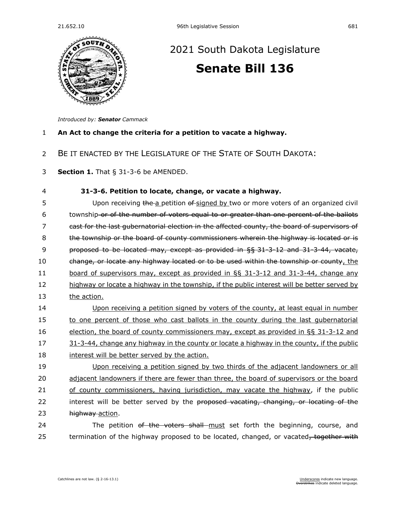

## [2021 South Dakota Legislature](https://sdlegislature.gov/Session/Bills/44) **[Senate Bill 136](https://sdlegislature.gov/Session/Bill/22372)**

*Introduced by: Senator [Cammack](https://sdlegislature.gov/Legislators/Profile/1775/Detail)*

## 1 **An Act to change the criteria for a petition to vacate a highway.**

- 2 BE IT ENACTED BY THE LEGISLATURE OF THE STATE OF SOUTH DAKOTA:
- 3 **Section 1.** [That § 31-3-6 be AMENDED.](https://sdlegislature.gov/Statutes/Codified_Laws/2052553)

| 4  | 31-3-6. Petition to locate, change, or vacate a highway.                                     |
|----|----------------------------------------------------------------------------------------------|
| 5  | Upon receiving the a petition of signed by two or more voters of an organized civil          |
| 6  | township or of the number of voters equal to or greater than one percent of the ballots      |
| 7  | cast for the last qubernatorial election in the affected county, the board of supervisors of |
| 8  | the township or the board of county commissioners wherein the highway is located or is       |
| 9  | proposed to be located may, except as provided in §§ 31-3-12 and 31-3-44, vacate,            |
| 10 | change, or locate any highway located or to be used within the township or county, the       |
| 11 | board of supervisors may, except as provided in $\S$ § 31-3-12 and 31-3-44, change any       |
| 12 | highway or locate a highway in the township, if the public interest will be better served by |
| 13 | the action.                                                                                  |
| 14 | Upon receiving a petition signed by voters of the county, at least equal in number           |
| 15 | to one percent of those who cast ballots in the county during the last gubernatorial         |
| 16 | election, the board of county commissioners may, except as provided in $\S$ 31-3-12 and      |
| 17 | 31-3-44, change any highway in the county or locate a highway in the county, if the public   |
| 18 | interest will be better served by the action.                                                |
| 19 | Upon receiving a petition signed by two thirds of the adjacent landowners or all             |
| 20 | adjacent landowners if there are fewer than three, the board of supervisors or the board     |
| 21 | of county commissioners, having jurisdiction, may vacate the highway, if the public          |
| 22 | interest will be better served by the proposed vacating, changing, or locating of the        |
| 23 | highway action.                                                                              |
| 24 | The petition of the voters shall must set forth the beginning, course, and                   |
| 25 | termination of the highway proposed to be located, changed, or vacated, together with        |